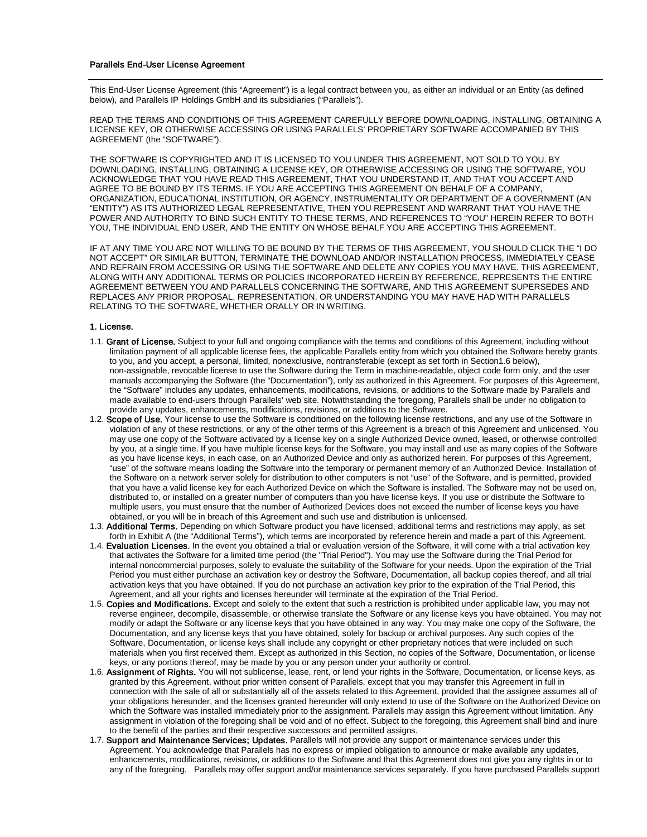#### Parallels End-User License Agreement

This End-User License Agreement (this "Agreement") is a legal contract between you, as either an individual or an Entity (as defined below), and Parallels IP Holdings GmbH and its subsidiaries ("Parallels").

READ THE TERMS AND CONDITIONS OF THIS AGREEMENT CAREFULLY BEFORE DOWNLOADING, INSTALLING, OBTAINING A LICENSE KEY, OR OTHERWISE ACCESSING OR USING PARALLELS' PROPRIETARY SOFTWARE ACCOMPANIED BY THIS AGREEMENT (the "SOFTWARE").

THE SOFTWARE IS COPYRIGHTED AND IT IS LICENSED TO YOU UNDER THIS AGREEMENT, NOT SOLD TO YOU. BY DOWNLOADING, INSTALLING, OBTAINING A LICENSE KEY, OR OTHERWISE ACCESSING OR USING THE SOFTWARE, YOU ACKNOWLEDGE THAT YOU HAVE READ THIS AGREEMENT, THAT YOU UNDERSTAND IT, AND THAT YOU ACCEPT AND AGREE TO BE BOUND BY ITS TERMS. IF YOU ARE ACCEPTING THIS AGREEMENT ON BEHALF OF A COMPANY, ORGANIZATION, EDUCATIONAL INSTITUTION, OR AGENCY, INSTRUMENTALITY OR DEPARTMENT OF A GOVERNMENT (AN "ENTITY") AS ITS AUTHORIZED LEGAL REPRESENTATIVE, THEN YOU REPRESENT AND WARRANT THAT YOU HAVE THE POWER AND AUTHORITY TO BIND SUCH ENTITY TO THESE TERMS, AND REFERENCES TO "YOU" HEREIN REFER TO BOTH YOU, THE INDIVIDUAL END USER, AND THE ENTITY ON WHOSE BEHALF YOU ARE ACCEPTING THIS AGREEMENT.

IF AT ANY TIME YOU ARE NOT WILLING TO BE BOUND BY THE TERMS OF THIS AGREEMENT, YOU SHOULD CLICK THE "I DO NOT ACCEPT" OR SIMILAR BUTTON, TERMINATE THE DOWNLOAD AND/OR INSTALLATION PROCESS, IMMEDIATELY CEASE AND REFRAIN FROM ACCESSING OR USING THE SOFTWARE AND DELETE ANY COPIES YOU MAY HAVE. THIS AGREEMENT, ALONG WITH ANY ADDITIONAL TERMS OR POLICIES INCORPORATED HEREIN BY REFERENCE, REPRESENTS THE ENTIRE AGREEMENT BETWEEN YOU AND PARALLELS CONCERNING THE SOFTWARE, AND THIS AGREEMENT SUPERSEDES AND REPLACES ANY PRIOR PROPOSAL, REPRESENTATION, OR UNDERSTANDING YOU MAY HAVE HAD WITH PARALLELS RELATING TO THE SOFTWARE, WHETHER ORALLY OR IN WRITING.

#### 1. License.

- 1.1. Grant of License. Subject to your full and ongoing compliance with the terms and conditions of this Agreement, including without limitation payment of all applicable license fees, the applicable Parallels entity from which you obtained the Software hereby grants to you, and you accept, a personal, limited, nonexclusive, nontransferable (except as set forth in Section1.6 below), non-assignable, revocable license to use the Software during the Term in machine-readable, object code form only, and the user manuals accompanying the Software (the "Documentation"), only as authorized in this Agreement. For purposes of this Agreement, the "Software" includes any updates, enhancements, modifications, revisions, or additions to the Software made by Parallels and made available to end-users through Parallels' web site. Notwithstanding the foregoing, Parallels shall be under no obligation to provide any updates, enhancements, modifications, revisions, or additions to the Software.
- 1.2. Scope of Use. Your license to use the Software is conditioned on the following license restrictions, and any use of the Software in violation of any of these restrictions, or any of the other terms of this Agreement is a breach of this Agreement and unlicensed. You may use one copy of the Software activated by a license key on a single Authorized Device owned, leased, or otherwise controlled by you, at a single time. If you have multiple license keys for the Software, you may install and use as many copies of the Software as you have license keys, in each case, on an Authorized Device and only as authorized herein. For purposes of this Agreement, "use" of the software means loading the Software into the temporary or permanent memory of an Authorized Device. Installation of the Software on a network server solely for distribution to other computers is not "use" of the Software, and is permitted, provided that you have a valid license key for each Authorized Device on which the Software is installed. The Software may not be used on, distributed to, or installed on a greater number of computers than you have license keys. If you use or distribute the Software to multiple users, you must ensure that the number of Authorized Devices does not exceed the number of license keys you have obtained, or you will be in breach of this Agreement and such use and distribution is unlicensed.
- 1.3. Additional Terms. Depending on which Software product you have licensed, additional terms and restrictions may apply, as set forth in Exhibit A (the "Additional Terms"), which terms are incorporated by reference herein and made a part of this Agreement.
- 1.4. Evaluation Licenses. In the event you obtained a trial or evaluation version of the Software, it will come with a trial activation key that activates the Software for a limited time period (the "Trial Period"). You may use the Software during the Trial Period for internal noncommercial purposes, solely to evaluate the suitability of the Software for your needs. Upon the expiration of the Trial Period you must either purchase an activation key or destroy the Software, Documentation, all backup copies thereof, and all trial activation keys that you have obtained. If you do not purchase an activation key prior to the expiration of the Trial Period, this Agreement, and all your rights and licenses hereunder will terminate at the expiration of the Trial Period.
- 1.5. Copies and Modifications. Except and solely to the extent that such a restriction is prohibited under applicable law, you may not reverse engineer, decompile, disassemble, or otherwise translate the Software or any license keys you have obtained. You may not modify or adapt the Software or any license keys that you have obtained in any way. You may make one copy of the Software, the Documentation, and any license keys that you have obtained, solely for backup or archival purposes. Any such copies of the Software, Documentation, or license keys shall include any copyright or other proprietary notices that were included on such materials when you first received them. Except as authorized in this Section, no copies of the Software, Documentation, or license keys, or any portions thereof, may be made by you or any person under your authority or control.
- 1.6. Assignment of Rights. You will not sublicense, lease, rent, or lend your rights in the Software, Documentation, or license keys, as granted by this Agreement, without prior written consent of Parallels, except that you may transfer this Agreement in full in connection with the sale of all or substantially all of the assets related to this Agreement, provided that the assignee assumes all of your obligations hereunder, and the licenses granted hereunder will only extend to use of the Software on the Authorized Device on which the Software was installed immediately prior to the assignment. Parallels may assign this Agreement without limitation. Any assignment in violation of the foregoing shall be void and of no effect. Subject to the foregoing, this Agreement shall bind and inure to the benefit of the parties and their respective successors and permitted assigns.
- 1.7. Support and Maintenance Services; Updates. Parallels will not provide any support or maintenance services under this Agreement. You acknowledge that Parallels has no express or implied obligation to announce or make available any updates, enhancements, modifications, revisions, or additions to the Software and that this Agreement does not give you any rights in or to any of the foregoing. Parallels may offer support and/or maintenance services separately. If you have purchased Parallels support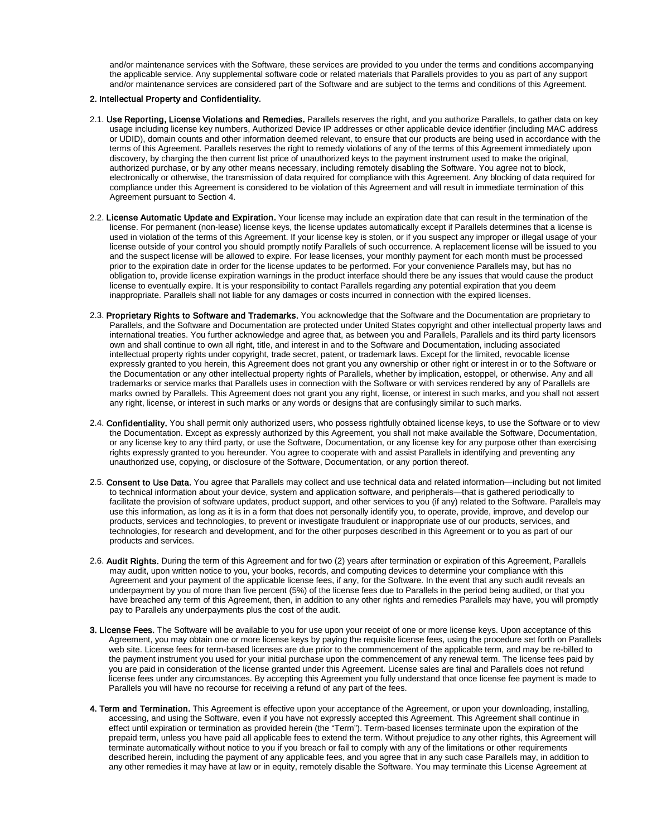and/or maintenance services with the Software, these services are provided to you under the terms and conditions accompanying the applicable service. Any supplemental software code or related materials that Parallels provides to you as part of any support and/or maintenance services are considered part of the Software and are subject to the terms and conditions of this Agreement.

## 2. Intellectual Property and Confidentiality.

- 2.1. Use Reporting, License Violations and Remedies. Parallels reserves the right, and you authorize Parallels, to gather data on key usage including license key numbers, Authorized Device IP addresses or other applicable device identifier (including MAC address or UDID), domain counts and other information deemed relevant, to ensure that our products are being used in accordance with the terms of this Agreement. Parallels reserves the right to remedy violations of any of the terms of this Agreement immediately upon discovery, by charging the then current list price of unauthorized keys to the payment instrument used to make the original, authorized purchase, or by any other means necessary, including remotely disabling the Software. You agree not to block, electronically or otherwise, the transmission of data required for compliance with this Agreement. Any blocking of data required for compliance under this Agreement is considered to be violation of this Agreement and will result in immediate termination of this Agreement pursuant to Section 4.
- 2.2. License Automatic Update and Expiration. Your license may include an expiration date that can result in the termination of the license. For permanent (non-lease) license keys, the license updates automatically except if Parallels determines that a license is used in violation of the terms of this Agreement. If your license key is stolen, or if you suspect any improper or illegal usage of your license outside of your control you should promptly notify Parallels of such occurrence. A replacement license will be issued to you and the suspect license will be allowed to expire. For lease licenses, your monthly payment for each month must be processed prior to the expiration date in order for the license updates to be performed. For your convenience Parallels may, but has no obligation to, provide license expiration warnings in the product interface should there be any issues that would cause the product license to eventually expire. It is your responsibility to contact Parallels regarding any potential expiration that you deem inappropriate. Parallels shall not liable for any damages or costs incurred in connection with the expired licenses.
- 2.3. Proprietary Rights to Software and Trademarks. You acknowledge that the Software and the Documentation are proprietary to Parallels, and the Software and Documentation are protected under United States copyright and other intellectual property laws and international treaties. You further acknowledge and agree that, as between you and Parallels, Parallels and its third party licensors own and shall continue to own all right, title, and interest in and to the Software and Documentation, including associated intellectual property rights under copyright, trade secret, patent, or trademark laws. Except for the limited, revocable license expressly granted to you herein, this Agreement does not grant you any ownership or other right or interest in or to the Software or the Documentation or any other intellectual property rights of Parallels, whether by implication, estoppel, or otherwise. Any and all trademarks or service marks that Parallels uses in connection with the Software or with services rendered by any of Parallels are marks owned by Parallels. This Agreement does not grant you any right, license, or interest in such marks, and you shall not assert any right, license, or interest in such marks or any words or designs that are confusingly similar to such marks.
- 2.4. Confidentiality. You shall permit only authorized users, who possess rightfully obtained license keys, to use the Software or to view the Documentation. Except as expressly authorized by this Agreement, you shall not make available the Software, Documentation, or any license key to any third party, or use the Software, Documentation, or any license key for any purpose other than exercising rights expressly granted to you hereunder. You agree to cooperate with and assist Parallels in identifying and preventing any unauthorized use, copying, or disclosure of the Software, Documentation, or any portion thereof.
- 2.5. Consent to Use Data. You agree that Parallels may collect and use technical data and related information—including but not limited to technical information about your device, system and application software, and peripherals—that is gathered periodically to facilitate the provision of software updates, product support, and other services to you (if any) related to the Software. Parallels may use this information, as long as it is in a form that does not personally identify you, to operate, provide, improve, and develop our products, services and technologies, to prevent or investigate fraudulent or inappropriate use of our products, services, and technologies, for research and development, and for the other purposes described in this Agreement or to you as part of our products and services.
- 2.6. Audit Rights. During the term of this Agreement and for two (2) years after termination or expiration of this Agreement, Parallels may audit, upon written notice to you, your books, records, and computing devices to determine your compliance with this Agreement and your payment of the applicable license fees, if any, for the Software. In the event that any such audit reveals an underpayment by you of more than five percent (5%) of the license fees due to Parallels in the period being audited, or that you have breached any term of this Agreement, then, in addition to any other rights and remedies Parallels may have, you will promptly pay to Parallels any underpayments plus the cost of the audit.
- 3. License Fees. The Software will be available to you for use upon your receipt of one or more license keys. Upon acceptance of this Agreement, you may obtain one or more license keys by paying the requisite license fees, using the procedure set forth on Parallels web site. License fees for term-based licenses are due prior to the commencement of the applicable term, and may be re-billed to the payment instrument you used for your initial purchase upon the commencement of any renewal term. The license fees paid by you are paid in consideration of the license granted under this Agreement. License sales are final and Parallels does not refund license fees under any circumstances. By accepting this Agreement you fully understand that once license fee payment is made to Parallels you will have no recourse for receiving a refund of any part of the fees.
- 4. Term and Termination. This Agreement is effective upon your acceptance of the Agreement, or upon your downloading, installing, accessing, and using the Software, even if you have not expressly accepted this Agreement. This Agreement shall continue in effect until expiration or termination as provided herein (the "Term"). Term-based licenses terminate upon the expiration of the prepaid term, unless you have paid all applicable fees to extend the term. Without prejudice to any other rights, this Agreement will terminate automatically without notice to you if you breach or fail to comply with any of the limitations or other requirements described herein, including the payment of any applicable fees, and you agree that in any such case Parallels may, in addition to any other remedies it may have at law or in equity, remotely disable the Software. You may terminate this License Agreement at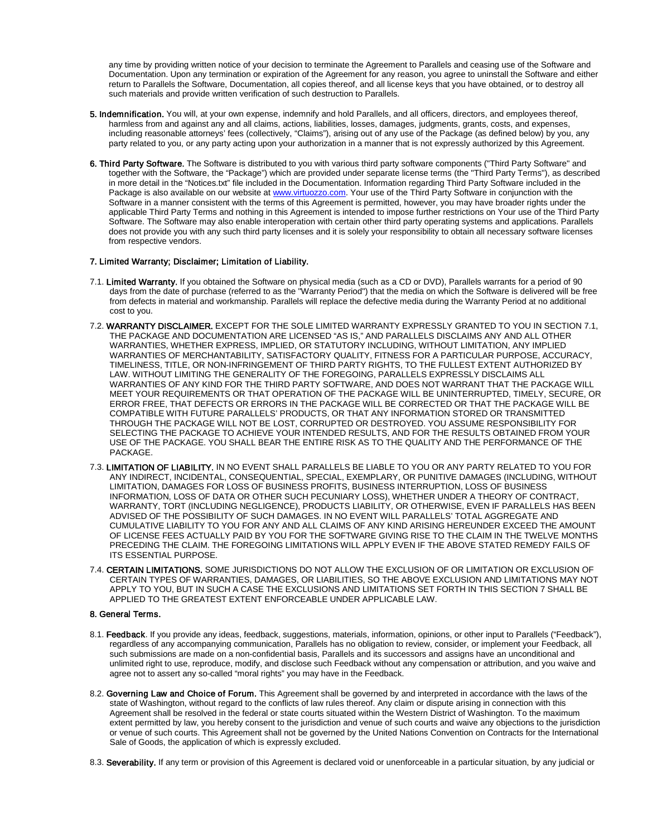any time by providing written notice of your decision to terminate the Agreement to Parallels and ceasing use of the Software and Documentation. Upon any termination or expiration of the Agreement for any reason, you agree to uninstall the Software and either return to Parallels the Software, Documentation, all copies thereof, and all license keys that you have obtained, or to destroy all such materials and provide written verification of such destruction to Parallels.

- 5. Indemnification. You will, at your own expense, indemnify and hold Parallels, and all officers, directors, and employees thereof, harmless from and against any and all claims, actions, liabilities, losses, damages, judgments, grants, costs, and expenses, including reasonable attorneys' fees (collectively, "Claims"), arising out of any use of the Package (as defined below) by you, any party related to you, or any party acting upon your authorization in a manner that is not expressly authorized by this Agreement.
- 6. Third Party Software. The Software is distributed to you with various third party software components ("Third Party Software" and together with the Software, the "Package") which are provided under separate license terms (the "Third Party Terms"), as described in more detail in the "Notices.txt" file included in the Documentation. Information regarding Third Party Software included in the Package is also available on our website a[t www.virtuozzo.com.](http://www.virtuozzo.com/) Your use of the Third Party Software in conjunction with the Software in a manner consistent with the terms of this Agreement is permitted, however, you may have broader rights under the applicable Third Party Terms and nothing in this Agreement is intended to impose further restrictions on Your use of the Third Party Software. The Software may also enable interoperation with certain other third party operating systems and applications. Parallels does not provide you with any such third party licenses and it is solely your responsibility to obtain all necessary software licenses from respective vendors.

# 7. Limited Warranty; Disclaimer; Limitation of Liability.

- 7.1. Limited Warranty. If you obtained the Software on physical media (such as a CD or DVD), Parallels warrants for a period of 90 days from the date of purchase (referred to as the "Warranty Period") that the media on which the Software is delivered will be free from defects in material and workmanship. Parallels will replace the defective media during the Warranty Period at no additional cost to you.
- 7.2. WARRANTY DISCLAIMER. EXCEPT FOR THE SOLE LIMITED WARRANTY EXPRESSLY GRANTED TO YOU IN SECTION 7.1, THE PACKAGE AND DOCUMENTATION ARE LICENSED "AS IS," AND PARALLELS DISCLAIMS ANY AND ALL OTHER WARRANTIES, WHETHER EXPRESS, IMPLIED, OR STATUTORY INCLUDING, WITHOUT LIMITATION, ANY IMPLIED WARRANTIES OF MERCHANTABILITY, SATISFACTORY QUALITY, FITNESS FOR A PARTICULAR PURPOSE, ACCURACY, TIMELINESS, TITLE, OR NON-INFRINGEMENT OF THIRD PARTY RIGHTS, TO THE FULLEST EXTENT AUTHORIZED BY LAW. WITHOUT LIMITING THE GENERALITY OF THE FOREGOING, PARALLELS EXPRESSLY DISCLAIMS ALL WARRANTIES OF ANY KIND FOR THE THIRD PARTY SOFTWARE, AND DOES NOT WARRANT THAT THE PACKAGE WILL MEET YOUR REQUIREMENTS OR THAT OPERATION OF THE PACKAGE WILL BE UNINTERRUPTED, TIMELY, SECURE, OR ERROR FREE, THAT DEFECTS OR ERRORS IN THE PACKAGE WILL BE CORRECTED OR THAT THE PACKAGE WILL BE COMPATIBLE WITH FUTURE PARALLELS' PRODUCTS, OR THAT ANY INFORMATION STORED OR TRANSMITTED THROUGH THE PACKAGE WILL NOT BE LOST, CORRUPTED OR DESTROYED. YOU ASSUME RESPONSIBILITY FOR SELECTING THE PACKAGE TO ACHIEVE YOUR INTENDED RESULTS, AND FOR THE RESULTS OBTAINED FROM YOUR USE OF THE PACKAGE. YOU SHALL BEAR THE ENTIRE RISK AS TO THE QUALITY AND THE PERFORMANCE OF THE PACKAGE.
- 7.3. LIMITATION OF LIABILITY. IN NO EVENT SHALL PARALLELS BE LIABLE TO YOU OR ANY PARTY RELATED TO YOU FOR ANY INDIRECT, INCIDENTAL, CONSEQUENTIAL, SPECIAL, EXEMPLARY, OR PUNITIVE DAMAGES (INCLUDING, WITHOUT LIMITATION, DAMAGES FOR LOSS OF BUSINESS PROFITS, BUSINESS INTERRUPTION, LOSS OF BUSINESS INFORMATION, LOSS OF DATA OR OTHER SUCH PECUNIARY LOSS), WHETHER UNDER A THEORY OF CONTRACT, WARRANTY, TORT (INCLUDING NEGLIGENCE), PRODUCTS LIABILITY, OR OTHERWISE, EVEN IF PARALLELS HAS BEEN ADVISED OF THE POSSIBILITY OF SUCH DAMAGES. IN NO EVENT WILL PARALLELS' TOTAL AGGREGATE AND CUMULATIVE LIABILITY TO YOU FOR ANY AND ALL CLAIMS OF ANY KIND ARISING HEREUNDER EXCEED THE AMOUNT OF LICENSE FEES ACTUALLY PAID BY YOU FOR THE SOFTWARE GIVING RISE TO THE CLAIM IN THE TWELVE MONTHS PRECEDING THE CLAIM. THE FOREGOING LIMITATIONS WILL APPLY EVEN IF THE ABOVE STATED REMEDY FAILS OF ITS ESSENTIAL PURPOSE.
- 7.4. CERTAIN LIMITATIONS. SOME JURISDICTIONS DO NOT ALLOW THE EXCLUSION OF OR LIMITATION OR EXCLUSION OF CERTAIN TYPES OF WARRANTIES, DAMAGES, OR LIABILITIES, SO THE ABOVE EXCLUSION AND LIMITATIONS MAY NOT APPLY TO YOU, BUT IN SUCH A CASE THE EXCLUSIONS AND LIMITATIONS SET FORTH IN THIS SECTION 7 SHALL BE APPLIED TO THE GREATEST EXTENT ENFORCEABLE UNDER APPLICABLE LAW.

#### 8. General Terms.

- 8.1. Feedback. If you provide any ideas, feedback, suggestions, materials, information, opinions, or other input to Parallels ("Feedback"), regardless of any accompanying communication, Parallels has no obligation to review, consider, or implement your Feedback, all such submissions are made on a non-confidential basis, Parallels and its successors and assigns have an unconditional and unlimited right to use, reproduce, modify, and disclose such Feedback without any compensation or attribution, and you waive and agree not to assert any so-called "moral rights" you may have in the Feedback.
- 8.2. Governing Law and Choice of Forum. This Agreement shall be governed by and interpreted in accordance with the laws of the state of Washington, without regard to the conflicts of law rules thereof. Any claim or dispute arising in connection with this Agreement shall be resolved in the federal or state courts situated within the Western District of Washington. To the maximum extent permitted by law, you hereby consent to the jurisdiction and venue of such courts and waive any objections to the jurisdiction or venue of such courts. This Agreement shall not be governed by the United Nations Convention on Contracts for the International Sale of Goods, the application of which is expressly excluded.
- 8.3. Severability. If any term or provision of this Agreement is declared void or unenforceable in a particular situation, by any judicial or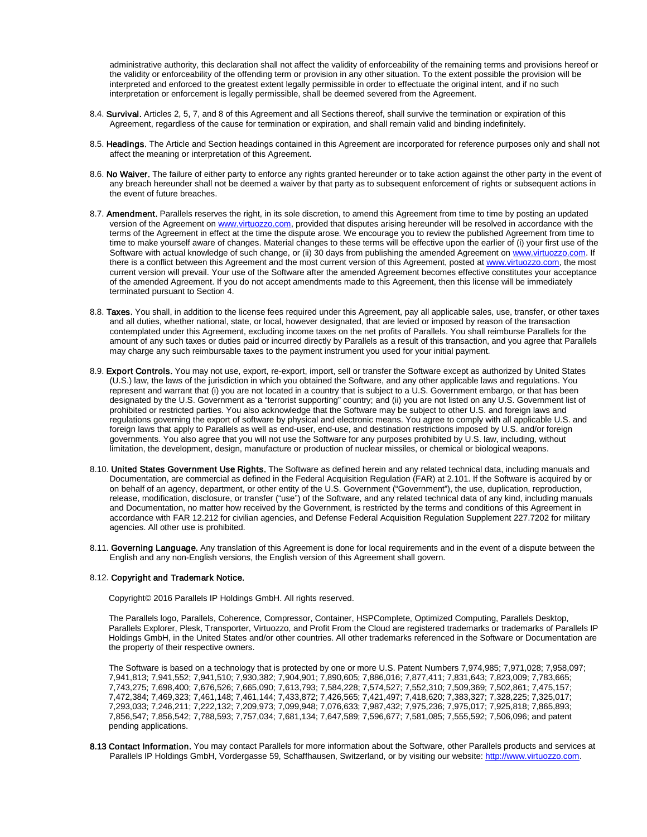administrative authority, this declaration shall not affect the validity of enforceability of the remaining terms and provisions hereof or the validity or enforceability of the offending term or provision in any other situation. To the extent possible the provision will be interpreted and enforced to the greatest extent legally permissible in order to effectuate the original intent, and if no such interpretation or enforcement is legally permissible, shall be deemed severed from the Agreement.

- 8.4. Survival. Articles 2, 5, 7, and 8 of this Agreement and all Sections thereof, shall survive the termination or expiration of this Agreement, regardless of the cause for termination or expiration, and shall remain valid and binding indefinitely.
- 8.5. Headings. The Article and Section headings contained in this Agreement are incorporated for reference purposes only and shall not affect the meaning or interpretation of this Agreement.
- 8.6. No Waiver. The failure of either party to enforce any rights granted hereunder or to take action against the other party in the event of any breach hereunder shall not be deemed a waiver by that party as to subsequent enforcement of rights or subsequent actions in the event of future breaches.
- 8.7. Amendment. Parallels reserves the right, in its sole discretion, to amend this Agreement from time to time by posting an updated version of the Agreement o[n www.virtuozzo.com,](http://www.virtuozzo.com/) provided that disputes arising hereunder will be resolved in accordance with the terms of the Agreement in effect at the time the dispute arose. We encourage you to review the published Agreement from time to time to make yourself aware of changes. Material changes to these terms will be effective upon the earlier of (i) your first use of the Software with actual knowledge of such change, or (ii) 30 days from publishing the amended Agreement o[n www.virtuozzo.com.](http://www.virtuozzo.com/) If there is a conflict between this Agreement and the most current version of this Agreement, posted a[t www.virtuozzo.com,](http://www.virtuozzo.com/) the most current version will prevail. Your use of the Software after the amended Agreement becomes effective constitutes your acceptance of the amended Agreement. If you do not accept amendments made to this Agreement, then this license will be immediately terminated pursuant to Section 4.
- 8.8. Taxes. You shall, in addition to the license fees required under this Agreement, pay all applicable sales, use, transfer, or other taxes and all duties, whether national, state, or local, however designated, that are levied or imposed by reason of the transaction contemplated under this Agreement, excluding income taxes on the net profits of Parallels. You shall reimburse Parallels for the amount of any such taxes or duties paid or incurred directly by Parallels as a result of this transaction, and you agree that Parallels may charge any such reimbursable taxes to the payment instrument you used for your initial payment.
- 8.9. Export Controls. You may not use, export, re-export, import, sell or transfer the Software except as authorized by United States (U.S.) law, the laws of the jurisdiction in which you obtained the Software, and any other applicable laws and regulations. You represent and warrant that (i) you are not located in a country that is subject to a U.S. Government embargo, or that has been designated by the U.S. Government as a "terrorist supporting" country; and (ii) you are not listed on any U.S. Government list of prohibited or restricted parties. You also acknowledge that the Software may be subject to other U.S. and foreign laws and regulations governing the export of software by physical and electronic means. You agree to comply with all applicable U.S. and foreign laws that apply to Parallels as well as end-user, end-use, and destination restrictions imposed by U.S. and/or foreign governments. You also agree that you will not use the Software for any purposes prohibited by U.S. law, including, without limitation, the development, design, manufacture or production of nuclear missiles, or chemical or biological weapons.
- 8.10. United States Government Use Rights. The Software as defined herein and any related technical data, including manuals and Documentation, are commercial as defined in the Federal Acquisition Regulation (FAR) at 2.101. If the Software is acquired by or on behalf of an agency, department, or other entity of the U.S. Government ("Government"), the use, duplication, reproduction, release, modification, disclosure, or transfer ("use") of the Software, and any related technical data of any kind, including manuals and Documentation, no matter how received by the Government, is restricted by the terms and conditions of this Agreement in accordance with FAR 12.212 for civilian agencies, and Defense Federal Acquisition Regulation Supplement 227.7202 for military agencies. All other use is prohibited.
- 8.11. Governing Language. Any translation of this Agreement is done for local requirements and in the event of a dispute between the English and any non-English versions, the English version of this Agreement shall govern.

#### 8.12. Copyright and Trademark Notice.

Copyright© 2016 Parallels IP Holdings GmbH. All rights reserved.

The Parallels logo, Parallels, Coherence, Compressor, Container, HSPComplete, Optimized Computing, Parallels Desktop, Parallels Explorer, Plesk, Transporter, Virtuozzo, and Profit From the Cloud are registered trademarks or trademarks of Parallels IP Holdings GmbH, in the United States and/or other countries. All other trademarks referenced in the Software or Documentation are the property of their respective owners.

The Software is based on a technology that is protected by one or more U.S. Patent Numbers 7,974,985; 7,971,028; 7,958,097; 7,941,813; 7,941,552; 7,941,510; 7,930,382; 7,904,901; 7,890,605; 7,886,016; 7,877,411; 7,831,643; 7,823,009; 7,783,665; 7,743,275; 7,698,400; 7,676,526; 7,665,090; 7,613,793; 7,584,228; 7,574,527; 7,552,310; 7,509,369; 7,502,861; 7,475,157; 7,472,384; 7,469,323; 7,461,148; 7,461,144; 7,433,872; 7,426,565; 7,421,497; 7,418,620; 7,383,327; 7,328,225; 7,325,017; 7,293,033; 7,246,211; 7,222,132; 7,209,973; 7,099,948; 7,076,633; 7,987,432; 7,975,236; 7,975,017; 7,925,818; 7,865,893; 7,856,547; 7,856,542; 7,788,593; 7,757,034; 7,681,134; 7,647,589; 7,596,677; 7,581,085; 7,555,592; 7,506,096; and patent pending applications.

8.13 Contact Information. You may contact Parallels for more information about the Software, other Parallels products and services at Parallels IP Holdings GmbH, Vordergasse 59, Schaffhausen, Switzerland, or by visiting our website[: http://www.virtuozzo.com.](http://www.virtuozzo.com/)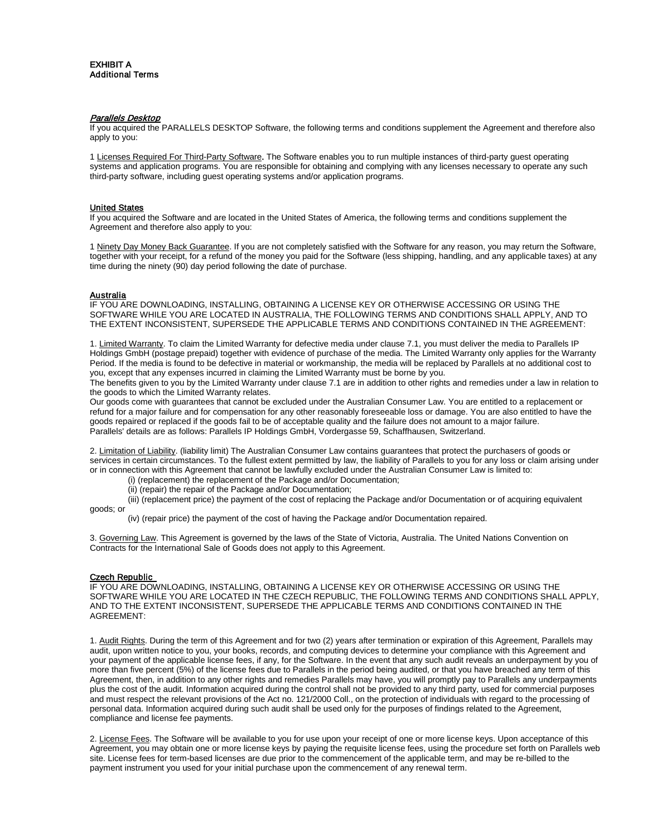# **Parallels Desktop**

If you acquired the PARALLELS DESKTOP Software, the following terms and conditions supplement the Agreement and therefore also apply to you:

1 Licenses Required For Third-Party Software. The Software enables you to run multiple instances of third-party guest operating systems and application programs. You are responsible for obtaining and complying with any licenses necessary to operate any such third-party software, including guest operating systems and/or application programs.

### United States

If you acquired the Software and are located in the United States of America, the following terms and conditions supplement the Agreement and therefore also apply to you:

1 Ninety Day Money Back Guarantee. If you are not completely satisfied with the Software for any reason, you may return the Software, together with your receipt, for a refund of the money you paid for the Software (less shipping, handling, and any applicable taxes) at any time during the ninety (90) day period following the date of purchase.

# <u>Australia</u>

IF YOU ARE DOWNLOADING, INSTALLING, OBTAINING A LICENSE KEY OR OTHERWISE ACCESSING OR USING THE SOFTWARE WHILE YOU ARE LOCATED IN AUSTRALIA, THE FOLLOWING TERMS AND CONDITIONS SHALL APPLY, AND TO THE EXTENT INCONSISTENT, SUPERSEDE THE APPLICABLE TERMS AND CONDITIONS CONTAINED IN THE AGREEMENT:

1. Limited Warranty. To claim the Limited Warranty for defective media under clause 7.1, you must deliver the media to Parallels IP Holdings GmbH (postage prepaid) together with evidence of purchase of the media. The Limited Warranty only applies for the Warranty Period. If the media is found to be defective in material or workmanship, the media will be replaced by Parallels at no additional cost to you, except that any expenses incurred in claiming the Limited Warranty must be borne by you.

The benefits given to you by the Limited Warranty under clause 7.1 are in addition to other rights and remedies under a law in relation to the goods to which the Limited Warranty relates.

Our goods come with guarantees that cannot be excluded under the Australian Consumer Law. You are entitled to a replacement or refund for a major failure and for compensation for any other reasonably foreseeable loss or damage. You are also entitled to have the goods repaired or replaced if the goods fail to be of acceptable quality and the failure does not amount to a major failure. Parallels' details are as follows: Parallels IP Holdings GmbH, Vordergasse 59, Schaffhausen, Switzerland.

2. Limitation of Liability. (liability limit) The Australian Consumer Law contains guarantees that protect the purchasers of goods or services in certain circumstances. To the fullest extent permitted by law, the liability of Parallels to you for any loss or claim arising under or in connection with this Agreement that cannot be lawfully excluded under the Australian Consumer Law is limited to:

- (i) (replacement) the replacement of the Package and/or Documentation;
- (ii) (repair) the repair of the Package and/or Documentation;

(iii) (replacement price) the payment of the cost of replacing the Package and/or Documentation or of acquiring equivalent

(iv) (repair price) the payment of the cost of having the Package and/or Documentation repaired.

3. Governing Law. This Agreement is governed by the laws of the State of Victoria, Australia. The United Nations Convention on Contracts for the International Sale of Goods does not apply to this Agreement.

# Czech Republic

goods; or

IF YOU ARE DOWNLOADING, INSTALLING, OBTAINING A LICENSE KEY OR OTHERWISE ACCESSING OR USING THE SOFTWARE WHILE YOU ARE LOCATED IN THE CZECH REPUBLIC, THE FOLLOWING TERMS AND CONDITIONS SHALL APPLY, AND TO THE EXTENT INCONSISTENT, SUPERSEDE THE APPLICABLE TERMS AND CONDITIONS CONTAINED IN THE AGREEMENT:

1. Audit Rights. During the term of this Agreement and for two (2) years after termination or expiration of this Agreement, Parallels may audit, upon written notice to you, your books, records, and computing devices to determine your compliance with this Agreement and your payment of the applicable license fees, if any, for the Software. In the event that any such audit reveals an underpayment by you of more than five percent (5%) of the license fees due to Parallels in the period being audited, or that you have breached any term of this Agreement, then, in addition to any other rights and remedies Parallels may have, you will promptly pay to Parallels any underpayments plus the cost of the audit. Information acquired during the control shall not be provided to any third party, used for commercial purposes and must respect the relevant provisions of the Act no. 121/2000 Coll., on the protection of individuals with regard to the processing of personal data. Information acquired during such audit shall be used only for the purposes of findings related to the Agreement, compliance and license fee payments.

2. License Fees. The Software will be available to you for use upon your receipt of one or more license keys. Upon acceptance of this Agreement, you may obtain one or more license keys by paying the requisite license fees, using the procedure set forth on Parallels web site. License fees for term-based licenses are due prior to the commencement of the applicable term, and may be re-billed to the payment instrument you used for your initial purchase upon the commencement of any renewal term.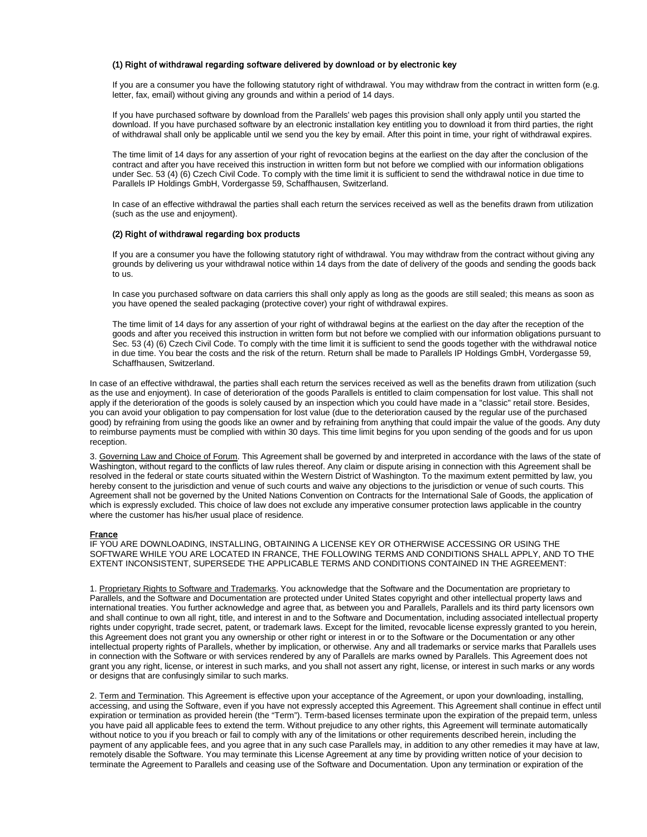# (1) Right of withdrawal regarding software delivered by download or by electronic key

If you are a consumer you have the following statutory right of withdrawal. You may withdraw from the contract in written form (e.g. letter, fax, email) without giving any grounds and within a period of 14 days.

If you have purchased software by download from the Parallels' web pages this provision shall only apply until you started the download. If you have purchased software by an electronic installation key entitling you to download it from third parties, the right of withdrawal shall only be applicable until we send you the key by email. After this point in time, your right of withdrawal expires.

The time limit of 14 days for any assertion of your right of revocation begins at the earliest on the day after the conclusion of the contract and after you have received this instruction in written form but not before we complied with our information obligations under Sec. 53 (4) (6) Czech Civil Code. To comply with the time limit it is sufficient to send the withdrawal notice in due time to Parallels IP Holdings GmbH, Vordergasse 59, Schaffhausen, Switzerland.

In case of an effective withdrawal the parties shall each return the services received as well as the benefits drawn from utilization (such as the use and enjoyment).

### (2) Right of withdrawal regarding box products

If you are a consumer you have the following statutory right of withdrawal. You may withdraw from the contract without giving any grounds by delivering us your withdrawal notice within 14 days from the date of delivery of the goods and sending the goods back to us.

In case you purchased software on data carriers this shall only apply as long as the goods are still sealed; this means as soon as you have opened the sealed packaging (protective cover) your right of withdrawal expires.

The time limit of 14 days for any assertion of your right of withdrawal begins at the earliest on the day after the reception of the goods and after you received this instruction in written form but not before we complied with our information obligations pursuant to Sec. 53 (4) (6) Czech Civil Code. To comply with the time limit it is sufficient to send the goods together with the withdrawal notice in due time. You bear the costs and the risk of the return. Return shall be made to Parallels IP Holdings GmbH, Vordergasse 59, Schaffhausen, Switzerland.

In case of an effective withdrawal, the parties shall each return the services received as well as the benefits drawn from utilization (such as the use and enjoyment). In case of deterioration of the goods Parallels is entitled to claim compensation for lost value. This shall not apply if the deterioration of the goods is solely caused by an inspection which you could have made in a "classic" retail store. Besides, you can avoid your obligation to pay compensation for lost value (due to the deterioration caused by the regular use of the purchased good) by refraining from using the goods like an owner and by refraining from anything that could impair the value of the goods. Any duty to reimburse payments must be complied with within 30 days. This time limit begins for you upon sending of the goods and for us upon reception.

3. Governing Law and Choice of Forum. This Agreement shall be governed by and interpreted in accordance with the laws of the state of Washington, without regard to the conflicts of law rules thereof. Any claim or dispute arising in connection with this Agreement shall be resolved in the federal or state courts situated within the Western District of Washington. To the maximum extent permitted by law, you hereby consent to the jurisdiction and venue of such courts and waive any objections to the jurisdiction or venue of such courts. This Agreement shall not be governed by the United Nations Convention on Contracts for the International Sale of Goods, the application of which is expressly excluded. This choice of law does not exclude any imperative consumer protection laws applicable in the country where the customer has his/her usual place of residence.

# **France**

IF YOU ARE DOWNLOADING, INSTALLING, OBTAINING A LICENSE KEY OR OTHERWISE ACCESSING OR USING THE SOFTWARE WHILE YOU ARE LOCATED IN FRANCE, THE FOLLOWING TERMS AND CONDITIONS SHALL APPLY, AND TO THE EXTENT INCONSISTENT, SUPERSEDE THE APPLICABLE TERMS AND CONDITIONS CONTAINED IN THE AGREEMENT:

1. Proprietary Rights to Software and Trademarks. You acknowledge that the Software and the Documentation are proprietary to Parallels, and the Software and Documentation are protected under United States copyright and other intellectual property laws and international treaties. You further acknowledge and agree that, as between you and Parallels, Parallels and its third party licensors own and shall continue to own all right, title, and interest in and to the Software and Documentation, including associated intellectual property rights under copyright, trade secret, patent, or trademark laws. Except for the limited, revocable license expressly granted to you herein, this Agreement does not grant you any ownership or other right or interest in or to the Software or the Documentation or any other intellectual property rights of Parallels, whether by implication, or otherwise. Any and all trademarks or service marks that Parallels uses in connection with the Software or with services rendered by any of Parallels are marks owned by Parallels. This Agreement does not grant you any right, license, or interest in such marks, and you shall not assert any right, license, or interest in such marks or any words or designs that are confusingly similar to such marks.

2. Term and Termination. This Agreement is effective upon your acceptance of the Agreement, or upon your downloading, installing, accessing, and using the Software, even if you have not expressly accepted this Agreement. This Agreement shall continue in effect until expiration or termination as provided herein (the "Term"). Term-based licenses terminate upon the expiration of the prepaid term, unless you have paid all applicable fees to extend the term. Without prejudice to any other rights, this Agreement will terminate automatically without notice to you if you breach or fail to comply with any of the limitations or other requirements described herein, including the payment of any applicable fees, and you agree that in any such case Parallels may, in addition to any other remedies it may have at law, remotely disable the Software. You may terminate this License Agreement at any time by providing written notice of your decision to terminate the Agreement to Parallels and ceasing use of the Software and Documentation. Upon any termination or expiration of the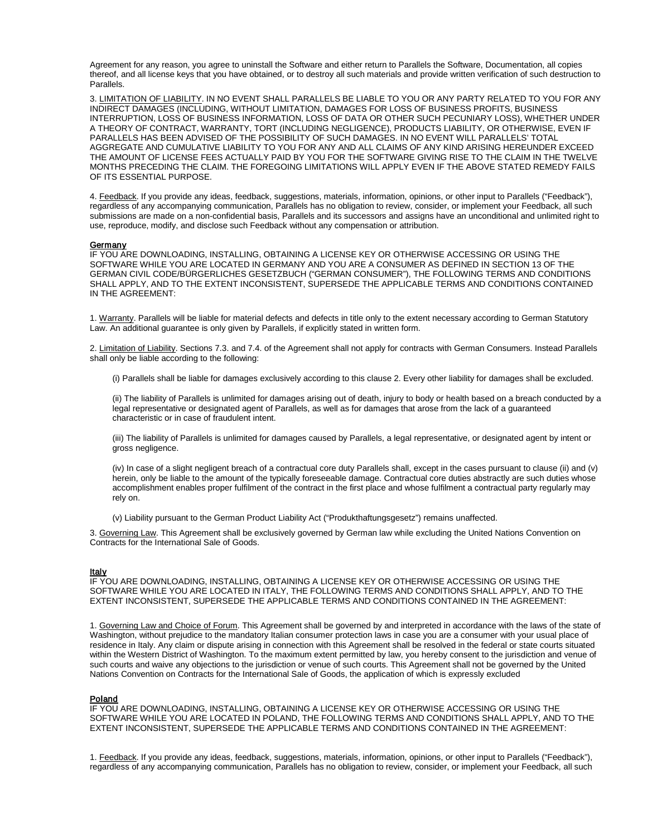Agreement for any reason, you agree to uninstall the Software and either return to Parallels the Software, Documentation, all copies thereof, and all license keys that you have obtained, or to destroy all such materials and provide written verification of such destruction to Parallels.

3. LIMITATION OF LIABILITY. IN NO EVENT SHALL PARALLELS BE LIABLE TO YOU OR ANY PARTY RELATED TO YOU FOR ANY INDIRECT DAMAGES (INCLUDING, WITHOUT LIMITATION, DAMAGES FOR LOSS OF BUSINESS PROFITS, BUSINESS INTERRUPTION, LOSS OF BUSINESS INFORMATION, LOSS OF DATA OR OTHER SUCH PECUNIARY LOSS), WHETHER UNDER A THEORY OF CONTRACT, WARRANTY, TORT (INCLUDING NEGLIGENCE), PRODUCTS LIABILITY, OR OTHERWISE, EVEN IF PARALLELS HAS BEEN ADVISED OF THE POSSIBILITY OF SUCH DAMAGES. IN NO EVENT WILL PARALLELS' TOTAL AGGREGATE AND CUMULATIVE LIABILITY TO YOU FOR ANY AND ALL CLAIMS OF ANY KIND ARISING HEREUNDER EXCEED THE AMOUNT OF LICENSE FEES ACTUALLY PAID BY YOU FOR THE SOFTWARE GIVING RISE TO THE CLAIM IN THE TWELVE MONTHS PRECEDING THE CLAIM. THE FOREGOING LIMITATIONS WILL APPLY EVEN IF THE ABOVE STATED REMEDY FAILS OF ITS ESSENTIAL PURPOSE.

4. Feedback. If you provide any ideas, feedback, suggestions, materials, information, opinions, or other input to Parallels ("Feedback"), regardless of any accompanying communication, Parallels has no obligation to review, consider, or implement your Feedback, all such submissions are made on a non-confidential basis, Parallels and its successors and assigns have an unconditional and unlimited right to use, reproduce, modify, and disclose such Feedback without any compensation or attribution.

#### Germany

IF YOU ARE DOWNLOADING, INSTALLING, OBTAINING A LICENSE KEY OR OTHERWISE ACCESSING OR USING THE SOFTWARE WHILE YOU ARE LOCATED IN GERMANY AND YOU ARE A CONSUMER AS DEFINED IN SECTION 13 OF THE GERMAN CIVIL CODE/BÜRGERLICHES GESETZBUCH ("GERMAN CONSUMER"), THE FOLLOWING TERMS AND CONDITIONS SHALL APPLY, AND TO THE EXTENT INCONSISTENT, SUPERSEDE THE APPLICABLE TERMS AND CONDITIONS CONTAINED IN THE AGREEMENT:

1. Warranty. Parallels will be liable for material defects and defects in title only to the extent necessary according to German Statutory Law. An additional guarantee is only given by Parallels, if explicitly stated in written form.

2. Limitation of Liability. Sections 7.3. and 7.4. of the Agreement shall not apply for contracts with German Consumers. Instead Parallels shall only be liable according to the following:

(i) Parallels shall be liable for damages exclusively according to this clause 2. Every other liability for damages shall be excluded.

(ii) The liability of Parallels is unlimited for damages arising out of death, injury to body or health based on a breach conducted by a legal representative or designated agent of Parallels, as well as for damages that arose from the lack of a guaranteed characteristic or in case of fraudulent intent.

(iii) The liability of Parallels is unlimited for damages caused by Parallels, a legal representative, or designated agent by intent or gross negligence.

(iv) In case of a slight negligent breach of a contractual core duty Parallels shall, except in the cases pursuant to clause (ii) and (v) herein, only be liable to the amount of the typically foreseeable damage. Contractual core duties abstractly are such duties whose accomplishment enables proper fulfilment of the contract in the first place and whose fulfilment a contractual party regularly may rely on.

(v) Liability pursuant to the German Product Liability Act ("Produkthaftungsgesetz") remains unaffected.

3. Governing Law. This Agreement shall be exclusively governed by German law while excluding the United Nations Convention on Contracts for the International Sale of Goods.

#### **Italy**

IF YOU ARE DOWNLOADING, INSTALLING, OBTAINING A LICENSE KEY OR OTHERWISE ACCESSING OR USING THE SOFTWARE WHILE YOU ARE LOCATED IN ITALY, THE FOLLOWING TERMS AND CONDITIONS SHALL APPLY, AND TO THE EXTENT INCONSISTENT, SUPERSEDE THE APPLICABLE TERMS AND CONDITIONS CONTAINED IN THE AGREEMENT:

1. Governing Law and Choice of Forum. This Agreement shall be governed by and interpreted in accordance with the laws of the state of Washington, without prejudice to the mandatory Italian consumer protection laws in case you are a consumer with your usual place of residence in Italy. Any claim or dispute arising in connection with this Agreement shall be resolved in the federal or state courts situated within the Western District of Washington. To the maximum extent permitted by law, you hereby consent to the jurisdiction and venue of such courts and waive any objections to the jurisdiction or venue of such courts. This Agreement shall not be governed by the United Nations Convention on Contracts for the International Sale of Goods, the application of which is expressly excluded

# **Poland**

IF YOU ARE DOWNLOADING, INSTALLING, OBTAINING A LICENSE KEY OR OTHERWISE ACCESSING OR USING THE SOFTWARE WHILE YOU ARE LOCATED IN POLAND, THE FOLLOWING TERMS AND CONDITIONS SHALL APPLY, AND TO THE EXTENT INCONSISTENT, SUPERSEDE THE APPLICABLE TERMS AND CONDITIONS CONTAINED IN THE AGREEMENT:

1. Feedback. If you provide any ideas, feedback, suggestions, materials, information, opinions, or other input to Parallels ("Feedback"), regardless of any accompanying communication, Parallels has no obligation to review, consider, or implement your Feedback, all such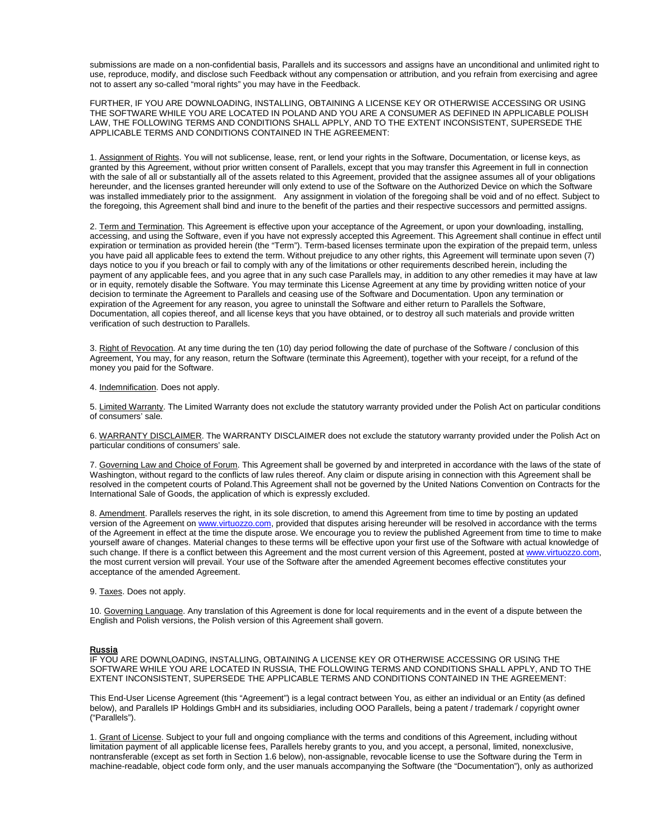submissions are made on a non-confidential basis, Parallels and its successors and assigns have an unconditional and unlimited right to use, reproduce, modify, and disclose such Feedback without any compensation or attribution, and you refrain from exercising and agree not to assert any so-called "moral rights" you may have in the Feedback.

FURTHER, IF YOU ARE DOWNLOADING, INSTALLING, OBTAINING A LICENSE KEY OR OTHERWISE ACCESSING OR USING THE SOFTWARE WHILE YOU ARE LOCATED IN POLAND AND YOU ARE A CONSUMER AS DEFINED IN APPLICABLE POLISH LAW, THE FOLLOWING TERMS AND CONDITIONS SHALL APPLY, AND TO THE EXTENT INCONSISTENT, SUPERSEDE THE APPLICABLE TERMS AND CONDITIONS CONTAINED IN THE AGREEMENT:

1. Assignment of Rights. You will not sublicense, lease, rent, or lend your rights in the Software, Documentation, or license keys, as granted by this Agreement, without prior written consent of Parallels, except that you may transfer this Agreement in full in connection with the sale of all or substantially all of the assets related to this Agreement, provided that the assignee assumes all of your obligations hereunder, and the licenses granted hereunder will only extend to use of the Software on the Authorized Device on which the Software was installed immediately prior to the assignment. Any assignment in violation of the foregoing shall be void and of no effect. Subject to the foregoing, this Agreement shall bind and inure to the benefit of the parties and their respective successors and permitted assigns.

2. Term and Termination. This Agreement is effective upon your acceptance of the Agreement, or upon your downloading, installing, accessing, and using the Software, even if you have not expressly accepted this Agreement. This Agreement shall continue in effect until expiration or termination as provided herein (the "Term"). Term-based licenses terminate upon the expiration of the prepaid term, unless you have paid all applicable fees to extend the term. Without prejudice to any other rights, this Agreement will terminate upon seven (7) days notice to you if you breach or fail to comply with any of the limitations or other requirements described herein, including the payment of any applicable fees, and you agree that in any such case Parallels may, in addition to any other remedies it may have at law or in equity, remotely disable the Software. You may terminate this License Agreement at any time by providing written notice of your decision to terminate the Agreement to Parallels and ceasing use of the Software and Documentation. Upon any termination or expiration of the Agreement for any reason, you agree to uninstall the Software and either return to Parallels the Software, Documentation, all copies thereof, and all license keys that you have obtained, or to destroy all such materials and provide written verification of such destruction to Parallels.

3. Right of Revocation. At any time during the ten (10) day period following the date of purchase of the Software / conclusion of this Agreement, You may, for any reason, return the Software (terminate this Agreement), together with your receipt, for a refund of the money you paid for the Software.

4. Indemnification. Does not apply.

5. Limited Warranty. The Limited Warranty does not exclude the statutory warranty provided under the Polish Act on particular conditions of consumers' sale.

6. WARRANTY DISCLAIMER. The WARRANTY DISCLAIMER does not exclude the statutory warranty provided under the Polish Act on particular conditions of consumers' sale.

7. Governing Law and Choice of Forum. This Agreement shall be governed by and interpreted in accordance with the laws of the state of Washington, without regard to the conflicts of law rules thereof. Any claim or dispute arising in connection with this Agreement shall be resolved in the competent courts of Poland.This Agreement shall not be governed by the United Nations Convention on Contracts for the International Sale of Goods, the application of which is expressly excluded.

8. Amendment. Parallels reserves the right, in its sole discretion, to amend this Agreement from time to time by posting an updated version of the Agreement on [www.virtuozzo.com,](http://www.virtuozzo.com/) provided that disputes arising hereunder will be resolved in accordance with the terms of the Agreement in effect at the time the dispute arose. We encourage you to review the published Agreement from time to time to make yourself aware of changes. Material changes to these terms will be effective upon your first use of the Software with actual knowledge of such change. If there is a conflict between this Agreement and the most current version of this Agreement, posted at [www.virtuozzo.com,](http://www.virtuozzo.com/) the most current version will prevail. Your use of the Software after the amended Agreement becomes effective constitutes your acceptance of the amended Agreement.

9. Taxes. Does not apply.

10. Governing Language. Any translation of this Agreement is done for local requirements and in the event of a dispute between the English and Polish versions, the Polish version of this Agreement shall govern.

#### **Russia**

IF YOU ARE DOWNLOADING, INSTALLING, OBTAINING A LICENSE KEY OR OTHERWISE ACCESSING OR USING THE SOFTWARE WHILE YOU ARE LOCATED IN RUSSIA, THE FOLLOWING TERMS AND CONDITIONS SHALL APPLY, AND TO THE EXTENT INCONSISTENT, SUPERSEDE THE APPLICABLE TERMS AND CONDITIONS CONTAINED IN THE AGREEMENT:

This End-User License Agreement (this "Agreement") is a legal contract between You, as either an individual or an Entity (as defined below), and Parallels IP Holdings GmbH and its subsidiaries, including OOO Parallels, being a patent / trademark / copyright owner ("Parallels").

1. Grant of License. Subject to your full and ongoing compliance with the terms and conditions of this Agreement, including without limitation payment of all applicable license fees, Parallels hereby grants to you, and you accept, a personal, limited, nonexclusive, nontransferable (except as set forth in Section 1.6 below), non-assignable, revocable license to use the Software during the Term in machine-readable, object code form only, and the user manuals accompanying the Software (the "Documentation"), only as authorized